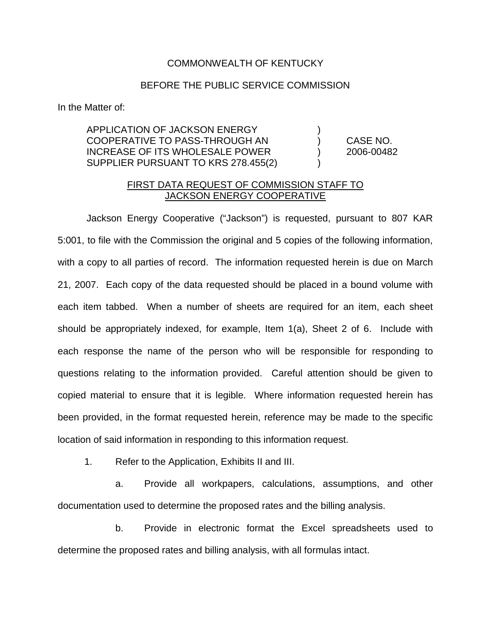## COMMONWEALTH OF KENTUCKY

## BEFORE THE PUBLIC SERVICE COMMISSION

In the Matter of:

APPLICATION OF JACKSON ENERGY ) COOPERATIVE TO PASS-THROUGH AN ) CASE NO. INCREASE OF ITS WHOLESALE POWER ) 2006-00482 SUPPLIER PURSUANT TO KRS 278.455(2)

## FIRST DATA REQUEST OF COMMISSION STAFF TO JACKSON ENERGY COOPERATIVE

Jackson Energy Cooperative ("Jackson") is requested, pursuant to 807 KAR 5:001, to file with the Commission the original and 5 copies of the following information, with a copy to all parties of record. The information requested herein is due on March 21, 2007. Each copy of the data requested should be placed in a bound volume with each item tabbed. When a number of sheets are required for an item, each sheet should be appropriately indexed, for example, Item 1(a), Sheet 2 of 6. Include with each response the name of the person who will be responsible for responding to questions relating to the information provided. Careful attention should be given to copied material to ensure that it is legible. Where information requested herein has been provided, in the format requested herein, reference may be made to the specific location of said information in responding to this information request.

1. Refer to the Application, Exhibits II and III.

a. Provide all workpapers, calculations, assumptions, and other documentation used to determine the proposed rates and the billing analysis.

b. Provide in electronic format the Excel spreadsheets used to determine the proposed rates and billing analysis, with all formulas intact.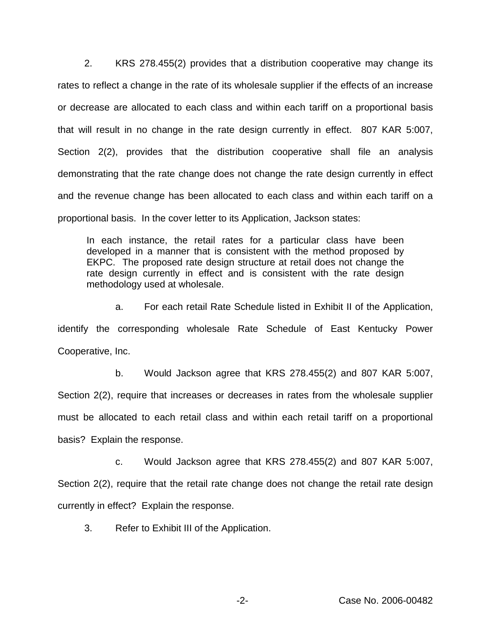2. KRS 278.455(2) provides that a distribution cooperative may change its rates to reflect a change in the rate of its wholesale supplier if the effects of an increase or decrease are allocated to each class and within each tariff on a proportional basis that will result in no change in the rate design currently in effect. 807 KAR 5:007, Section 2(2), provides that the distribution cooperative shall file an analysis demonstrating that the rate change does not change the rate design currently in effect and the revenue change has been allocated to each class and within each tariff on a proportional basis. In the cover letter to its Application, Jackson states:

In each instance, the retail rates for a particular class have been developed in a manner that is consistent with the method proposed by EKPC. The proposed rate design structure at retail does not change the rate design currently in effect and is consistent with the rate design methodology used at wholesale.

a. For each retail Rate Schedule listed in Exhibit II of the Application, identify the corresponding wholesale Rate Schedule of East Kentucky Power Cooperative, Inc.

b. Would Jackson agree that KRS 278.455(2) and 807 KAR 5:007, Section 2(2), require that increases or decreases in rates from the wholesale supplier must be allocated to each retail class and within each retail tariff on a proportional basis? Explain the response.

c. Would Jackson agree that KRS 278.455(2) and 807 KAR 5:007, Section 2(2), require that the retail rate change does not change the retail rate design currently in effect? Explain the response.

3. Refer to Exhibit III of the Application.